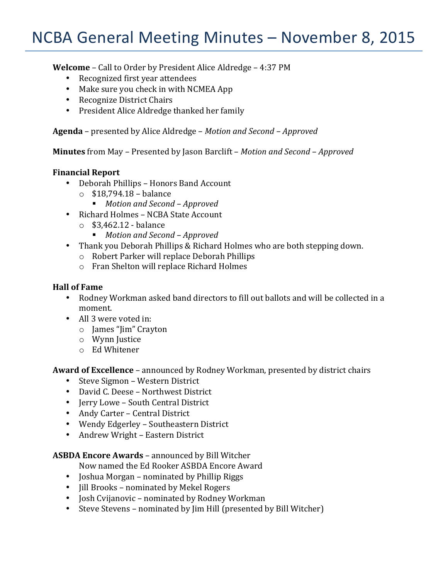# NCBA General Meeting Minutes - November 8, 2015

**Welcome** – Call to Order by President Alice Aldredge – 4:37 PM

- Recognized first year attendees
- Make sure you check in with NCMEA App
- Recognize District Chairs
- President Alice Aldredge thanked her family

**Agenda** – presented by Alice Aldredge – *Motion and Second* – *Approved* 

**Minutes** from May – Presented by Jason Barclift – *Motion and Second* – *Approved* 

#### **Financial Report**

- Deborah Phillips Honors Band Account
	- $\circ$  \$18,794.18 balance
		- *Motion and Second Approved*
- Richard Holmes NCBA State Account
	- $\circ$  \$3,462.12 balance
		- *Motion and Second Approved*
- Thank you Deborah Phillips & Richard Holmes who are both stepping down.
	- $\circ$  Robert Parker will replace Deborah Phillips
	- $\circ$  Fran Shelton will replace Richard Holmes

### **Hall of Fame**

- Rodney Workman asked band directors to fill out ballots and will be collected in a moment.
- All 3 were voted in:
	- o James "Jim" Crayton
	- o Wynn Justice
	- o Ed Whitener

**Award of Excellence** – announced by Rodney Workman, presented by district chairs

- Steve Sigmon Western District
- David C. Deese Northwest District
- Jerry Lowe South Central District
- Andy Carter Central District
- Wendy Edgerley Southeastern District
- Andrew Wright Eastern District

**ASBDA Encore Awards** – announced by Bill Witcher

Now named the Ed Rooker ASBDA Encore Award

- Joshua Morgan nominated by Phillip Riggs
- Jill Brooks nominated by Mekel Rogers
- Josh Cvijanovic nominated by Rodney Workman
- Steve Stevens nominated by Jim Hill (presented by Bill Witcher)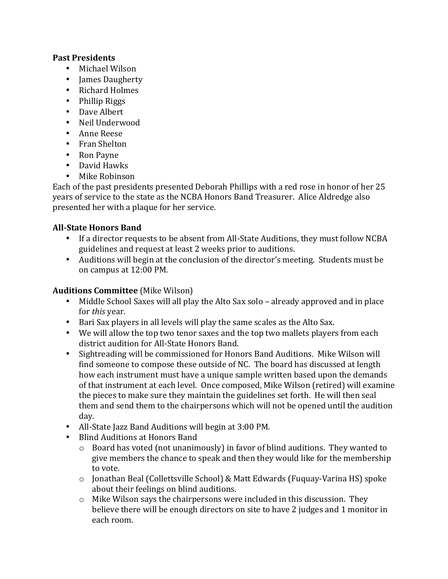## **Past Presidents**

- Michael Wilson
- James Daugherty
- Richard Holmes
- Phillip Riggs
- Dave Albert
- Neil Underwood
- Anne Reese
- Fran Shelton
- Ron Payne
- David Hawks
- Mike Robinson

Each of the past presidents presented Deborah Phillips with a red rose in honor of her 25 years of service to the state as the NCBA Honors Band Treasurer. Alice Aldredge also presented her with a plaque for her service.

# **All-State Honors Band**

- If a director requests to be absent from All-State Auditions, they must follow NCBA guidelines and request at least 2 weeks prior to auditions.
- Auditions will begin at the conclusion of the director's meeting. Students must be on campus at 12:00 PM.

# **Auditions Committee** (Mike Wilson)

- Middle School Saxes will all play the Alto Sax solo already approved and in place for *this* year.
- Bari Sax players in all levels will play the same scales as the Alto Sax.
- We will allow the top two tenor saxes and the top two mallets players from each district audition for All-State Honors Band.
- Sightreading will be commissioned for Honors Band Auditions. Mike Wilson will find someone to compose these outside of NC. The board has discussed at length how each instrument must have a unique sample written based upon the demands of that instrument at each level. Once composed, Mike Wilson (retired) will examine the pieces to make sure they maintain the guidelines set forth. He will then seal them and send them to the chairpersons which will not be opened until the audition day.
- All-State Jazz Band Auditions will begin at 3:00 PM.
- Blind Auditions at Honors Band
	- $\circ$  Board has voted (not unanimously) in favor of blind auditions. They wanted to give members the chance to speak and then they would like for the membership to vote.
	- o Jonathan Beal (Collettsville School) & Matt Edwards (Fuquay-Varina HS) spoke about their feelings on blind auditions.
	- $\circ$  Mike Wilson says the chairpersons were included in this discussion. They believe there will be enough directors on site to have 2 judges and 1 monitor in each room.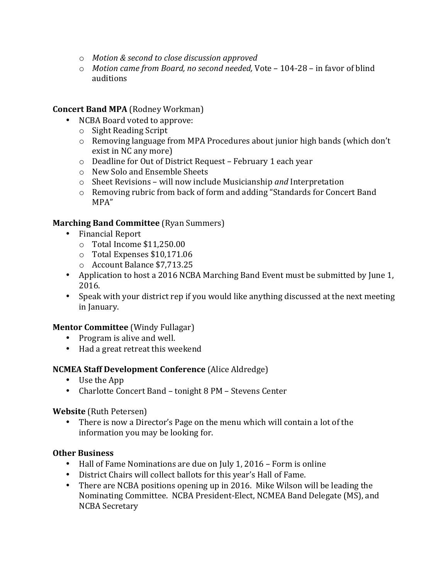- o *Motion & second to close discussion approved*
- o *Motion came from Board, no second needed,* Vote 104-28 in favor of blind auditions

# **Concert Band MPA** (Rodney Workman)

- NCBA Board voted to approve:
	- $\circ$  Sight Reading Script
	- $\circ$  Removing language from MPA Procedures about junior high bands (which don't exist in NC any more)
	- o Deadline for Out of District Request February 1 each year
	- o New Solo and Ensemble Sheets
	- o Sheet Revisions will now include Musicianship *and* Interpretation
	- o Removing rubric from back of form and adding "Standards for Concert Band MPA"

# **Marching Band Committee** (Ryan Summers)

- Financial Report
	- $\circ$  Total Income \$11,250.00
	- $\circ$  Total Expenses \$10,171.06
	- o Account Balance \$7,713.25
- Application to host a 2016 NCBA Marching Band Event must be submitted by June 1, 2016.
- Speak with your district rep if you would like anything discussed at the next meeting in January.

# **Mentor Committee** (Windy Fullagar)

- Program is alive and well.
- Had a great retreat this weekend

# **NCMEA Staff Development Conference** (Alice Aldredge)

- Use the App
- Charlotte Concert Band tonight 8 PM Stevens Center

# **Website** (Ruth Petersen)

• There is now a Director's Page on the menu which will contain a lot of the information you may be looking for.

# **Other Business**

- Hall of Fame Nominations are due on July 1, 2016 Form is online
- District Chairs will collect ballots for this year's Hall of Fame.
- There are NCBA positions opening up in 2016. Mike Wilson will be leading the Nominating Committee. NCBA President-Elect, NCMEA Band Delegate (MS), and NCBA Secretary